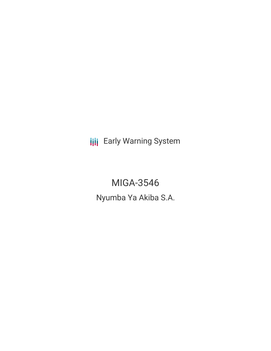**III** Early Warning System

MIGA-3546 Nyumba Ya Akiba S.A.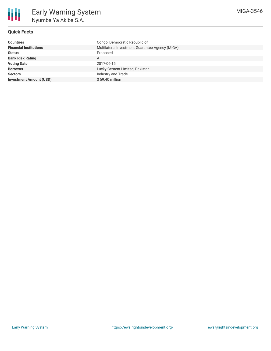# **Quick Facts**

| Countries                      | Congo, Democratic Republic of                   |
|--------------------------------|-------------------------------------------------|
| <b>Financial Institutions</b>  | Multilateral Investment Guarantee Agency (MIGA) |
| Status                         | Proposed                                        |
| <b>Bank Risk Rating</b>        | A                                               |
| <b>Voting Date</b>             | 2017-06-15                                      |
| <b>Borrower</b>                | Lucky Cement Limited, Pakistan                  |
| Sectors                        | Industry and Trade                              |
| <b>Investment Amount (USD)</b> | $$59.40$ million                                |
|                                |                                                 |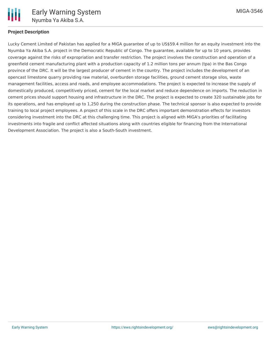

## **Project Description**

Lucky Cement Limited of Pakistan has applied for a MIGA guarantee of up to US\$59.4 million for an equity investment into the Nyumba Ya Akiba S.A. project in the Democratic Republic of Congo. The guarantee, available for up to 10 years, provides coverage against the risks of expropriation and transfer restriction. The project involves the construction and operation of a greenfield cement manufacturing plant with a production capacity of 1.2 million tons per annum (tpa) in the Bas Congo province of the DRC. It will be the largest producer of cement in the country. The project includes the development of an opencast limestone quarry providing raw material, overburden storage facilities, ground cement storage silos, waste management facilities, access and roads, and employee accommodations. The project is expected to increase the supply of domestically produced, competitively priced, cement for the local market and reduce dependence on imports. The reduction in cement prices should support housing and infrastructure in the DRC. The project is expected to create 320 sustainable jobs for its operations, and has employed up to 1,250 during the construction phase. The technical sponsor is also expected to provide training to local project employees. A project of this scale in the DRC offers important demonstration effects for investors considering investment into the DRC at this challenging time. This project is aligned with MIGA's priorities of facilitating investments into fragile and conflict affected situations along with countries eligible for financing from the International Development Association. The project is also a South-South investment.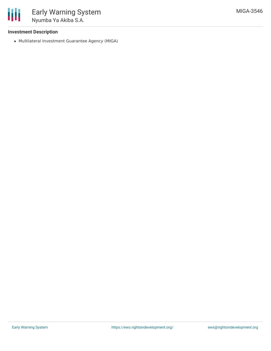

## **Investment Description**

Multilateral Investment Guarantee Agency (MIGA)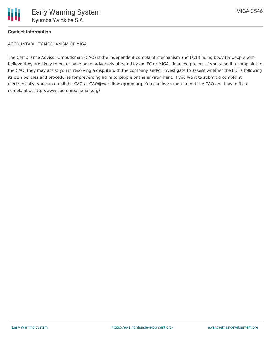

## **Contact Information**

ACCOUNTABILITY MECHANISM OF MIGA

The Compliance Advisor Ombudsman (CAO) is the independent complaint mechanism and fact-finding body for people who believe they are likely to be, or have been, adversely affected by an IFC or MIGA- financed project. If you submit a complaint to the CAO, they may assist you in resolving a dispute with the company and/or investigate to assess whether the IFC is following its own policies and procedures for preventing harm to people or the environment. If you want to submit a complaint electronically, you can email the CAO at CAO@worldbankgroup.org. You can learn more about the CAO and how to file a complaint at http://www.cao-ombudsman.org/